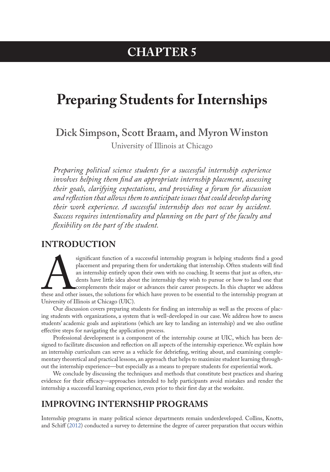## **CHAPTER 5**

# **Preparing Students for Internships**

**Dick Simpson, Scott Braam, and Myron Winston**

University of Illinois at Chicago

*Preparing political science students for a successful internship experience involves helping them find an appropriate internship placement, assessing their goals, clarifying expectations, and providing a forum for discussion and reflection that allows them to anticipate issues that could develop during their work experience. A successful internship does not occur by accident. Success requires intentionality and planning on the part of the faculty and flexibility on the part of the student.*

#### **INTRODUCTION**

significant function of a successful internship program is helping students find a good<br>placement and preparing them for undertaking that internship. Often students will find<br>an internship entirely upon their own with no c placement and preparing them for undertaking that internship. Often students will find an internship entirely upon their own with no coaching. It seems that just as often, students have little idea about the internship they wish to pursue or how to land one that complements their major or advances their career prospects. In this chapter we address these and other issues, the solutions for which have proven to be essential to the internship program at University of Illinois at Chicago (UIC).

Our discussion covers preparing students for finding an internship as well as the process of placing students with organizations, a system that is well-developed in our case. We address how to assess students' academic goals and aspirations (which are key to landing an internship) and we also outline effective steps for navigating the application process.

Professional development is a component of the internship course at UIC, which has been designed to facilitate discussion and reflection on all aspects of the internship experience. We explain how an internship curriculum can serve as a vehicle for debriefing, writing about, and examining complementary theoretical and practical lessons, an approach that helps to maximize student learning throughout the internship experience—but especially as a means to prepare students for experiential work.

We conclude by discussing the techniques and methods that constitute best practices and sharing evidence for their efficacy—approaches intended to help participants avoid mistakes and render the internship a successful learning experience, even prior to their first day at the worksite.

#### **IMPROVING INTERNSHIP PROGRAMS**

Internship programs in many political science departments remain underdeveloped. Collins, Knotts, and Schiff (2012) conducted a survey to determine the degree of career preparation that occurs within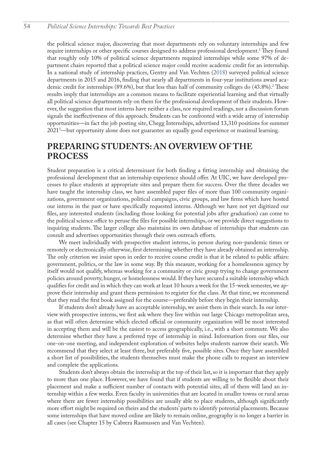<span id="page-1-0"></span>the political science major, discovering that most departments rely on voluntary internships and few require internships or other specific courses designed to address professional development.<sup>1</sup> They found that roughly only 10% of political science departments required internships while some 97% of department chairs reported that a political science major could receive academic credit for an internship. In a national study of internship practices, Gentry and Van Vechten (2018) surveyed political science departments in 2015 and 2016, finding that nearly all departments in four-year institutions award aca-demic credit for internships (89.6%), but that less than half of community colleges do (43.8%).<sup>[2](#page-7-0)</sup> These results imply that internships are a common means to facilitate experiential learning and that virtually all political science departments rely on them for the professional development of their students. However, the suggestion that most interns have neither a class, nor required readings, nor a discussion forum signals the ineffectiveness of this approach. Students can be confronted with a wide array of internship opportunities—in fact the job posting site, Chegg Internships, advertised 13,310 positions for summer 2021[3](#page-7-0) —but opportunity alone does not guarantee an equally good experience or maximal learning.

#### **PREPARING STUDENTS: AN OVERVIEW OF THE PROCESS**

Student preparation is a critical determinant for both finding a fitting internship and obtaining the professional development that an internship experience should offer. At UIC, we have developed processes to place students at appropriate sites and prepare them for success. Over the three decades we have taught the internship class, we have assembled paper files of more than 100 community organizations, government organizations, political campaigns, civic groups, and law firms which have hosted our interns in the past or have specifically requested interns. Although we have not yet digitized our files, any interested students (including those looking for potential jobs after graduation) can come to the political science office to peruse the files for possible internships, or we provide direct suggestions to inquiring students. The larger college also maintains its own database of internships that students can consult and advertises opportunities through their own outreach efforts.

We meet individually with prospective student interns, in person during non-pandemic times or remotely or electronically otherwise, first determining whether they have already obtained an internship. The only criterion we insist upon in order to receive course credit is that it be related to public affairs: government, politics, or the law in some way. By this measure, working for a homelessness agency by itself would not qualify, whereas working for a community or civic group trying to change government policies around poverty, hunger, or homelessness would. If they have secured a suitable internship which qualifies for credit and in which they can work at least 10 hours a week for the 15-week semester, we approve their internship and grant them permission to register for the class. At that time, we recommend that they read the first book assigned for the course—preferably before they begin their internship.

If students don't already have an acceptable internship, we assist them in their search. In our interview with prospective interns, we first ask where they live within our large Chicago metropolitan area, as that will often determine which elected official or community organization will be most interested in accepting them and will be the easiest to access geographically, i.e., with a short commute. We also determine whether they have a preferred type of internship in mind. Information from our files, our one-on-one meeting, and independent exploration of websites helps students narrow their search. We recommend that they select at least three, but preferably five, possible sites. Once they have assembled a short list of possibilities, the students themselves must make the phone calls to request an interview and complete the applications.

Students don't always obtain the internship at the top of their list, so it is important that they apply to more than one place. However, we have found that if students are willing to be flexible about their placement and make a sufficient number of contacts with potential sites, all of them will land an internship within a few weeks. Even faculty in universities that are located in smaller towns or rural areas where there are fewer internship possibilities are usually able to place students, although significantly more effort might be required on theirs and the students' parts to identify potential placements. Because some internships that have moved online are likely to remain online, geography is no longer a barrier in all cases (see Chapter 15 by Cabrera Rasmussen and Van Vechten).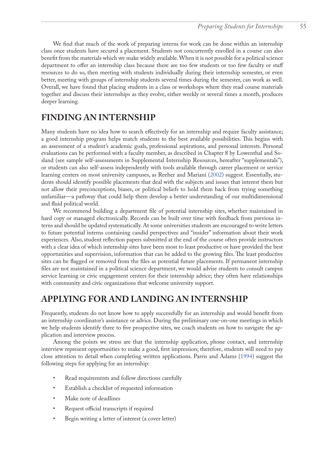We find that much of the work of preparing interns for work can be done within an internship class once students have secured a placement. Students not concurrently enrolled in a course can also benefit from the materials which we make widely available. When it is not possible for a political science department to offer an internship class because there are too few students or too few faculty or staff resources to do so, then meeting with students individually during their internship semester, or even better, meeting with groups of internship students several times during the semester, can work as well. Overall, we have found that placing students in a class or workshops where they read course materials together and discuss their internships as they evolve, either weekly or several times a month, produces deeper learning.

#### **FINDING AN INTERNSHIP**

Many students have no idea how to search effectively for an internship and require faculty assistance; a good internship program helps match students to the best available possibilities. This begins with an assessment of a student's academic goals, professional aspirations, and personal interests. Personal evaluations can be performed with a faculty member, as described in Chapter 8 by Lowenthal and Sosland (see sample self-assessments in Supplemental Internship Resources, hereafter "supplementals"), or students can also self-assess independently with tools available through career placement or service learning centers on most university campuses, as Reeher and Mariani ([2002\)](#page-6-0) suggest. Essentially, students should identify possible placements that deal with the subjects and issues that interest them but not allow their preconceptions, biases, or political beliefs to hold them back from trying something unfamiliar—a pathway that could help them develop a better understanding of our multidimensional and fluid political world.

We recommend building a department file of potential internship sites, whether maintained in hard copy or managed electronically. Records can be built over time with feedback from previous interns and should be updated systematically. At some universities students are encouraged to write letters to future potential interns containing candid perspectives and "insider" information about their work experiences. Also, student reflection papers submitted at the end of the course often provide instructors with a clear idea of which internship sites have been most to least productive or have provided the best opportunities and supervision, information that can be added to the growing files. The least productive sites can be flagged or removed from the files as potential future placements. If permanent internship files are not maintained in a political science department, we would advise students to consult campus service learning or civic engagement centers for their internship advice; they often have relationships with community and civic organizations that welcome university support.

#### **APPLYING FOR AND LANDING AN INTERNSHIP**

Frequently, students do not know how to apply successfully for an internship and would benefit from an internship coordinator's assistance or advice. During the preliminary one-on-one meetings in which we help students identify three to five prospective sites, we coach students on how to navigate the application and interview process.

Among the points we stress are that the internship application, phone contact, and internship interview represent opportunities to make a good, first impression; therefore, students will need to pay close attention to detail when completing written applications. Parris and Adams [\(1994](#page-6-1)) suggest the following steps for applying for an internship:

- Read requirements and follow directions carefully
- Establish a checklist of requested information
- Make note of deadlines
- Request official transcripts if required
- Begin writing a letter of interest (a cover letter)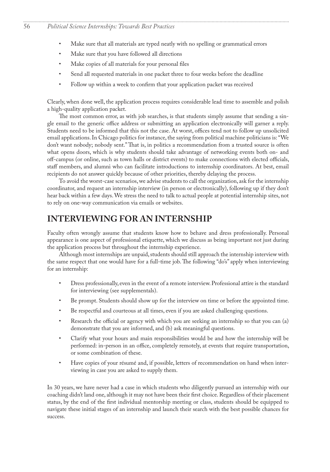- Make sure that all materials are typed neatly with no spelling or grammatical errors
- Make sure that you have followed all directions
- Make copies of all materials for your personal files
- Send all requested materials in one packet three to four weeks before the deadline
- Follow up within a week to confirm that your application packet was received

Clearly, when done well, the application process requires considerable lead time to assemble and polish a high-quality application packet.

The most common error, as with job searches, is that students simply assume that sending a single email to the generic office address or submitting an application electronically will garner a reply. Students need to be informed that this not the case. At worst, offices tend not to follow up unsolicited email applications. In Chicago politics for instance, the saying from political machine politicians is: "We don't want nobody; nobody sent." That is, in politics a recommendation from a trusted source is often what opens doors, which is why students should take advantage of networking events both on- and off-campus (or online, such as town halls or district events) to make connections with elected officials, staff members, and alumni who can facilitate introductions to internship coordinators. At best, email recipients do not answer quickly because of other priorities, thereby delaying the process.

To avoid the worst-case scenarios, we advise students to call the organization, ask for the internship coordinator, and request an internship interview (in person or electronically), following up if they don't hear back within a few days. We stress the need to talk to actual people at potential internship sites, not to rely on one-way communication via emails or websites.

#### **INTERVIEWING FOR AN INTERNSHIP**

Faculty often wrongly assume that students know how to behave and dress professionally. Personal appearance is one aspect of professional etiquette, which we discuss as being important not just during the application process but throughout the internship experience.

Although most internships are unpaid, students should still approach the internship interview with the same respect that one would have for a full-time job. The following "do's" apply when interviewing for an internship:

- Dress professionally, even in the event of a remote interview. Professional attire is the standard for interviewing (see supplementals).
- Be prompt. Students should show up for the interview on time or before the appointed time.
- Be respectful and courteous at all times, even if you are asked challenging questions.
- Research the official or agency with which you are seeking an internship so that you can (a) demonstrate that you are informed, and (b) ask meaningful questions.
- Clarify what your hours and main responsibilities would be and how the internship will be performed: in-person in an office, completely remotely, at events that require transportation, or some combination of these.
- Have copies of your résumé and, if possible, letters of recommendation on hand when interviewing in case you are asked to supply them.

In 30 years, we have never had a case in which students who diligently pursued an internship with our coaching didn't land one, although it may not have been their first choice. Regardless of their placement status, by the end of the first individual mentorship meeting or class, students should be equipped to navigate these initial stages of an internship and launch their search with the best possible chances for success.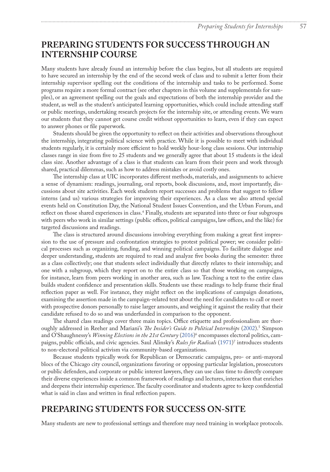#### <span id="page-4-0"></span>**PREPARING STUDENTS FOR SUCCESS THROUGH AN INTERNSHIP COURSE**

Many students have already found an internship before the class begins, but all students are required to have secured an internship by the end of the second week of class and to submit a letter from their internship supervisor spelling out the conditions of the internship and tasks to be performed. Some programs require a more formal contract (see other chapters in this volume and supplementals for samples), or an agreement spelling out the goals and expectations of both the internship provider and the student, as well as the student's anticipated learning opportunities, which could include attending staff or public meetings, undertaking research projects for the internship site, or attending events. We warn our students that they cannot get course credit without opportunities to learn, even if they can expect to answer phones or file paperwork.

Students should be given the opportunity to reflect on their activities and observations throughout the internship, integrating political science with practice. While it is possible to meet with individual students regularly, it is certainly more efficient to hold weekly hour-long class sessions. Our internship classes range in size from five to 25 students and we generally agree that about 15 students is the ideal class size. Another advantage of a class is that students can learn from their peers and work through shared, practical dilemmas, such as how to address mistakes or avoid costly ones.

The internship class at UIC incorporates different methods, materials, and assignments to achieve a sense of dynamism: readings, journaling, oral reports, book discussions, and, most importantly, discussions about site activities. Each week students report successes and problems that suggest to fellow interns (and us) various strategies for improving their experiences. As a class we also attend special events held on Constitution Day, the National Student Issues Convention, and the Urban Forum, and reflect on those shared experiences in class[.4](#page-7-0) Finally, students are separated into three or four subgroups with peers who work in similar settings (public offices, political campaigns, law offices, and the like) for targeted discussions and readings.

The class is structured around discussions involving everything from making a great first impression to the use of pressure and confrontation strategies to protest political power; we consider political processes such as organizing, funding, and winning political campaigns. To facilitate dialogue and deeper understanding, students are required to read and analyze five books during the semester: three as a class collectively; one that students select individually that directly relates to their internship; and one with a subgroup, which they report on to the entire class so that those working on campaigns, for instance, learn from peers working in another area, such as law. Teaching a text to the entire class builds student confidence and presentation skills. Students use these readings to help frame their final reflection paper as well. For instance, they might reflect on the implications of campaign donations, examining the assertion made in the campaign-related text about the need for candidates to call or meet with prospective donors personally to raise larger amounts, and weighing it against the reality that their candidate refused to do so and was underfunded in comparison to the opponent.

The shared class readings cover three main topics. Office etiquette and professionalism are thoroughly addressed in Reeher and Mariani's *The Insider's Guide to Political Internships* [\(2002](#page-6-0)).[5](#page-7-0) Simpson and O'Shaughnessy's *Winning Elections in the 21st Century* [\(2016](#page-6-2))<sup>[6](#page-7-0)</sup> encompasses electoral politics, campaigns, public officials, and civic agencies. Saul Alinsky's *Rules for Radicals* ([1971\)](#page-6-3) [7](#page-7-0) introduces students to non-electoral political activism via community-based organizations.

Because students typically work for Republican or Democratic campaigns, pro- or anti-mayoral blocs of the Chicago city council, organizations favoring or opposing particular legislation, prosecutors or public defenders, and corporate or public interest lawyers, they can use class time to directly compare their diverse experiences inside a common framework of readings and lectures, interaction that enriches and deepens their internship experience. The faculty coordinator and students agree to keep confidential what is said in class and written in final reflection papers.

#### **PREPARING STUDENTS FOR SUCCESS ON-SITE**

Many students are new to professional settings and therefore may need training in workplace protocols.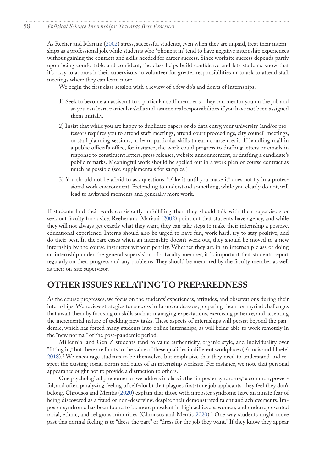#### <span id="page-5-0"></span>58 *Political Science Internships: Towards Best Practices*

As Reeher and Mariani ([2002\)](#page-6-0) stress, successful students, even when they are unpaid, treat their internships as a professional job, while students who "phone it in" tend to have negative internship experiences without gaining the contacts and skills needed for career success. Since worksite success depends partly upon being comfortable and confident, the class helps build confidence and lets students know that it's okay to approach their supervisors to volunteer for greater responsibilities or to ask to attend staff meetings where they can learn more.

We begin the first class session with a review of a few do's and don'ts of internships.

- 1) Seek to become an assistant to a particular staff member so they can mentor you on the job and so you can learn particular skills and assume real responsibilities if you have not been assigned them initially.
- 2) Insist that while you are happy to duplicate papers or do data entry, your university (and/or professor) requires you to attend staff meetings, attend court proceedings, city council meetings, or staff planning sessions, or learn particular skills to earn course credit. If handling mail in a public official's office, for instance, the work could progress to drafting letters or emails in response to constituent letters, press releases, website announcement, or drafting a candidate's public remarks. Meaningful work should be spelled out in a work plan or course contract as much as possible (see supplementals for samples.)
- 3) You should not be afraid to ask questions. "Fake it until you make it" does not fly in a professional work environment. Pretending to understand something, while you clearly do not, will lead to awkward moments and generally more work.

If students find their work consistently unfulfilling then they should talk with their supervisors or seek out faculty for advice. Reeher and Mariani [\(2002](#page-6-0)) point out that students have agency, and while they will not always get exactly what they want, they can take steps to make their internship a positive, educational experience. Interns should also be urged to have fun, work hard, try to stay positive, and do their best. In the rare cases when an internship doesn't work out, they should be moved to a new internship by the course instructor without penalty. Whether they are in an internship class or doing an internship under the general supervision of a faculty member, it is important that students report regularly on their progress and any problems. They should be mentored by the faculty member as well as their on-site supervisor.

#### **OTHER ISSUES RELATING TO PREPAREDNESS**

As the course progresses, we focus on the students' experiences, attitudes, and observations during their internships. We review strategies for success in future endeavors, preparing them for myriad challenges that await them by focusing on skills such as managing expectations, exercising patience, and accepting the incremental nature of tackling new tasks. These aspects of internships will persist beyond the pandemic, which has forced many students into online internships, as will being able to work remotely in the "new normal" of the post-pandemic period.

Millennial and Gen Z students tend to value authenticity, organic style, and individuality over "fitting in," but there are limits to the value of these qualities in different workplaces (Francis and Hoefel 2018)[.8](#page-7-0) We encourage students to be themselves but emphasize that they need to understand and respect the existing social norms and rules of an internship worksite. For instance, we note that personal appearance ought not to provide a distraction to others.

One psychological phenomenon we address in class is the "imposter syndrome," a common, powerful, and often paralyzing feeling of self-doubt that plagues first-time job applicants: they feel they don't belong. Chrousos and Mentis (2020) explain that those with imposter syndrome have an innate fear of being discovered as a fraud or non-deserving, despite their demonstrated talent and achievements. Imposter syndrome has been found to be more prevalent in high achievers, women, and underrepresented racial, ethnic, and religious minorities (Chrousos and Mentis 2020).[9](#page-7-0) One way students might move past this normal feeling is to "dress the part" or "dress for the job they want." If they know they appear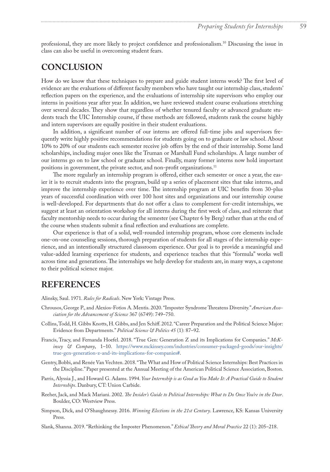<span id="page-6-4"></span>professional, they are more likely to project confidence and professionalism[.10](#page-7-0) Discussing the issue in class can also be useful in overcoming student fears.

#### **CONCLUSION**

How do we know that these techniques to prepare and guide student interns work? The first level of evidence are the evaluations of different faculty members who have taught our internship class, students' reflection papers on the experience, and the evaluations of internship site supervisors who employ our interns in positions year after year. In addition, we have reviewed student course evaluations stretching over several decades. They show that regardless of whether tenured faculty or advanced graduate students teach the UIC Internship course, if these methods are followed, students rank the course highly and intern supervisors are equally positive in their student evaluations.

In addition, a significant number of our interns are offered full-time jobs and supervisors frequently write highly positive recommendations for students going on to graduate or law school. About 10% to 20% of our students each semester receive job offers by the end of their internship. Some land scholarships, including major ones like the Truman or Marshall Fund scholarships. A large number of our interns go on to law school or graduate school. Finally, many former interns now hold important positions in government, the private sector, and non-profit organizations.<sup>[11](#page-7-0)</sup>

The more regularly an internship program is offered, either each semester or once a year, the easier it is to recruit students into the program, build up a series of placement sites that take interns, and improve the internship experience over time. The internship program at UIC benefits from 30-plus years of successful coordination with over 100 host sites and organizations and our internship course is well-developed. For departments that do not offer a class to complement for-credit internships, we suggest at least an orientation workshop for all interns during the first week of class, and reiterate that faculty mentorship needs to occur during the semester (see Chapter 6 by Berg) rather than at the end of the course when students submit a final reflection and evaluations are complete.

Our experience is that of a solid, well-rounded internship program, whose core elements include one-on-one counseling sessions, thorough preparation of students for all stages of the internship experience, and an intentionally structured classroom experience. Our goal is to provide a meaningful and value-added learning experience for students, and experience teaches that this "formula" works well across time and generations. The internships we help develop for students are, in many ways, a capstone to their political science major.

#### **REFERENCES**

<span id="page-6-3"></span>Alinsky, Saul. 1971. *Rules for Radicals*. New York: Vintage Press.

- Chrousos, George P., and Alexios-Fotios A. Mentis. 2020. "Imposter Syndrome Threatens Diversity." *American Association for the Advancement of Science* 367 (6749): 749–750.
- Collins, Todd, H. Gibbs Knotts, H. Gibbs, and Jen Schiff. 2012. "Career Preparation and the Political Science Major: Evidence from Departments." *Political Science & Politics 45* (1): 87–92.
- Francis, Tracy, and Fernanda Hoefel. 2018. "True Gen: Generation Z and its Implications for Companies." *McKinsey & Company*, 1–10. [https://www.mckinsey.com/industries/consumer-packaged-goods/our-insights/](https://www.mckinsey.com/industries/consumer-packaged-goods/our-insights/true-gen-generation-z-and-its-implications-for-companies#) [true-gen-generation-z-and-its-implications-for-companies#.](https://www.mckinsey.com/industries/consumer-packaged-goods/our-insights/true-gen-generation-z-and-its-implications-for-companies#)
- Gentry, Bobbi, and Renée Van Vechten. 2018. "The What and How of Political Science Internships: Best Practices in the Discipline." Paper presented at the Annual Meeting of the American Political Science Association, Boston.
- <span id="page-6-1"></span>Parris, Alyssia J., and Howard G. Adams. 1994. *Your Internship is as Good as You Make It: A Practical Guide to Student Internships*. Danbury, CT: Union Carbide.
- <span id="page-6-0"></span>Reeher, Jack, and Mack Mariani. 2002. *The Insider's Guide to Political Internships: What to Do Once You're in the Door*. Boulder, CO: Westview Press.
- <span id="page-6-2"></span>Simpson, Dick, and O'Shaughnessy. 2016. *Winning Elections in the 21st Century*. Lawrence, KS: Kansas University Press.

Slank, Shanna. 2019. "Rethinking the Imposter Phenomenon." *Ethical Theory and Moral Practice* 22 (1): 205–218.